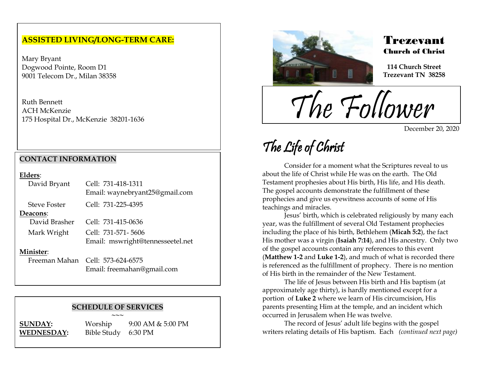## **ASSISTED LIVING/LONG-TERM CARE:**

Mary Bryant Dogwood Pointe, Room D1 9001 Telecom Dr., Milan 38358

Ruth Bennett ACH McKenzie 175 Hospital Dr., McKenzie 38201-1636

## **CONTACT INFORMATION**

### **Elders**:

| David Bryant        | Cell: 731-418-1311<br>Email: waynebryant25@gmail.com |
|---------------------|------------------------------------------------------|
| <b>Steve Foster</b> | Cell: 731-225-4395                                   |
| Deacons:            |                                                      |
| David Brasher       | Cell: 731-415-0636                                   |
| Mark Wright         | Cell: 731-571-5606                                   |
|                     | Email: mswright@tennesseetel.net                     |
| Minister:           |                                                      |
|                     | Freeman Mahan Cell: 573-624-6575                     |
|                     | Email: freemahan@gmail.com                           |

#### **SCHEDULE OF SERVICES**

**~~~ SUNDAY:** Worship 9:00 AM & 5:00 PM **WEDNESDAY:** Bible Study 6:30 PM



## Trezevant Church of Christ

**114 Church Street Trezevant TN 38258**

The Follower

December 20, 2020

## The Life of Christ

.<br>F

Consider for a moment what the Scriptures reveal to us about the life of Christ while He was on the earth. The Old Testament prophesies about His birth, His life, and His death. The gospel accounts demonstrate the fulfillment of these prophecies and give us eyewitness accounts of some of His teachings and miracles.

Jesus' birth, which is celebrated religiously by many each year, was the fulfillment of several Old Testament prophecies including the place of his birth, Bethlehem (**Micah 5:2**), the fact His mother was a virgin (**Isaiah 7:14**), and His ancestry. Only two of the gospel accounts contain any references to this event (**Matthew 1-2** and **Luke 1-2**), and much of what is recorded there is referenced as the fulfillment of prophecy. There is no mention of His birth in the remainder of the New Testament.

The life of Jesus between His birth and His baptism (at approximately age thirty), is hardly mentioned except for a portion of **Luke 2** where we learn of His circumcision, His parents presenting Him at the temple, and an incident which occurred in Jerusalem when He was twelve.

The record of Jesus' adult life begins with the gospel writers relating details of His baptism. Each *(continued next page)*